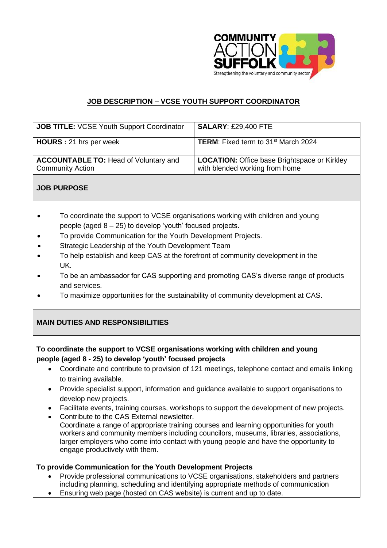

# **JOB DESCRIPTION – VCSE YOUTH SUPPORT COORDINATOR**

| <b>JOB TITLE: VCSE Youth Support Coordinator</b>                        | <b>SALARY: £29,400 FTE</b>                                                            |
|-------------------------------------------------------------------------|---------------------------------------------------------------------------------------|
| <b>HOURS</b> : 21 hrs per week                                          | <b>TERM:</b> Fixed term to 31 <sup>st</sup> March 2024                                |
| <b>ACCOUNTABLE TO: Head of Voluntary and</b><br><b>Community Action</b> | <b>LOCATION:</b> Office base Brightspace or Kirkley<br>with blended working from home |

## **JOB PURPOSE**

- To coordinate the support to VCSE organisations working with children and young people (aged 8 – 25) to develop 'youth' focused projects.
- To provide Communication for the Youth Development Projects.
- Strategic Leadership of the Youth Development Team
- To help establish and keep CAS at the forefront of community development in the UK.
- To be an ambassador for CAS supporting and promoting CAS's diverse range of products and services.
- To maximize opportunities for the sustainability of community development at CAS.

## **MAIN DUTIES AND RESPONSIBILITIES**

## **To coordinate the support to VCSE organisations working with children and young people (aged 8 - 25) to develop 'youth' focused projects**

- Coordinate and contribute to provision of 121 meetings, telephone contact and emails linking to training available.
- Provide specialist support, information and guidance available to support organisations to develop new projects.
- Facilitate events, training courses, workshops to support the development of new projects.
- Contribute to the CAS External newsletter.
- Coordinate a range of appropriate training courses and learning opportunities for youth workers and community members including councilors, museums, libraries, associations, larger employers who come into contact with young people and have the opportunity to engage productively with them.

## **To provide Communication for the Youth Development Projects**

- Provide professional communications to VCSE organisations, stakeholders and partners including planning, scheduling and identifying appropriate methods of communication
- Ensuring web page (hosted on CAS website) is current and up to date.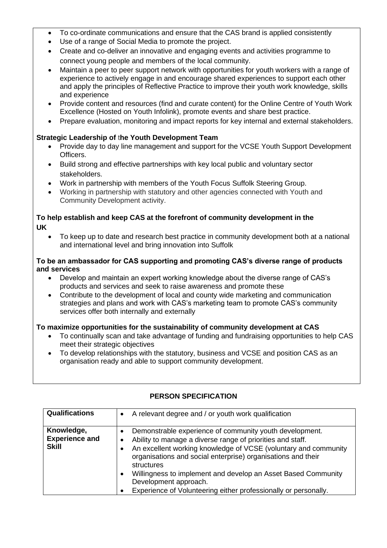- To co-ordinate communications and ensure that the CAS brand is applied consistently
- Use of a range of Social Media to promote the project.
- Create and co-deliver an innovative and engaging events and activities programme to connect young people and members of the local community.
- Maintain a peer to peer support network with opportunities for youth workers with a range of experience to actively engage in and encourage shared experiences to support each other and apply the principles of Reflective Practice to improve their youth work knowledge, skills and experience
- Provide content and resources (find and curate content) for the Online Centre of Youth Work Excellence (Hosted on Youth Infolink), promote events and share best practice.
- Prepare evaluation, monitoring and impact reports for key internal and external stakeholders.

## **Strategic Leadership of** t**he Youth Development Team**

- Provide day to day line management and support for the VCSE Youth Support Development Officers.
- Build strong and effective partnerships with key local public and voluntary sector stakeholders.
- Work in partnership with members of the Youth Focus Suffolk Steering Group.
- Working in partnership with statutory and other agencies connected with Youth and Community Development activity.

#### **To help establish and keep CAS at the forefront of community development in the UK**

• To keep up to date and research best practice in community development both at a national and international level and bring innovation into Suffolk

#### **To be an ambassador for CAS supporting and promoting CAS's diverse range of products and services**

- Develop and maintain an expert working knowledge about the diverse range of CAS's products and services and seek to raise awareness and promote these
- Contribute to the development of local and county wide marketing and communication strategies and plans and work with CAS's marketing team to promote CAS's community services offer both internally and externally

## **To maximize opportunities for the sustainability of community development at CAS**

- To continually scan and take advantage of funding and fundraising opportunities to help CAS meet their strategic objectives
- To develop relationships with the statutory, business and VCSE and position CAS as an organisation ready and able to support community development.

| <b>Qualifications</b>                               | A relevant degree and / or youth work qualification                                                                                                                                                                                                                                                                                                                                                                                                           |
|-----------------------------------------------------|---------------------------------------------------------------------------------------------------------------------------------------------------------------------------------------------------------------------------------------------------------------------------------------------------------------------------------------------------------------------------------------------------------------------------------------------------------------|
| Knowledge,<br><b>Experience and</b><br><b>Skill</b> | Demonstrable experience of community youth development.<br>$\bullet$<br>Ability to manage a diverse range of priorities and staff.<br>An excellent working knowledge of VCSE (voluntary and community<br>organisations and social enterprise) organisations and their<br>structures<br>Willingness to implement and develop an Asset Based Community<br>$\bullet$<br>Development approach.<br>Experience of Volunteering either professionally or personally. |

## **PERSON SPECIFICATION**